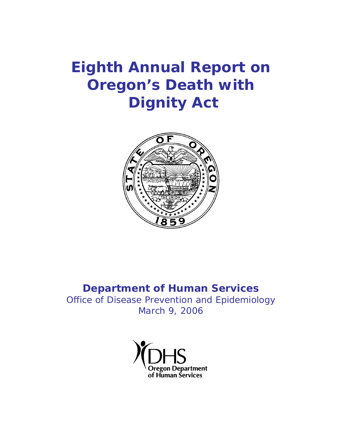# **Eighth Annual Report on Oregon's Death with Dignity Act**



**Department of Human Services** Office of Disease Prevention and Epidemiology March 9, 2006

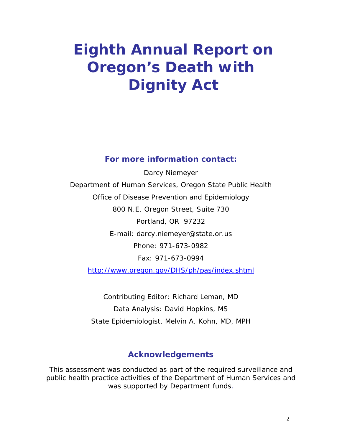# **Eighth Annual Report on Oregon's Death with Dignity Act**

#### **For more information contact:**

Darcy Niemeyer Department of Human Services, Oregon State Public Health Office of Disease Prevention and Epidemiology 800 N.E. Oregon Street, Suite 730 Portland, OR 97232 E-mail: darcy.niemeyer@state.or.us Phone: 971-673-0982 Fax: 971-673-0994 http://www.oregon.gov/DHS/ph/pas/index.shtml

> Contributing Editor: Richard Leman, MD Data Analysis: David Hopkins, MS State Epidemiologist, Melvin A. Kohn, MD, MPH

#### **Acknowledgements**

This assessment was conducted as part of the required surveillance and public health practice activities of the Department of Human Services and was supported by Department funds.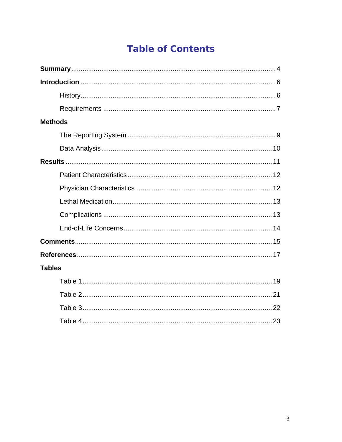# **Table of Contents**

| <b>Methods</b> |
|----------------|
|                |
|                |
|                |
|                |
|                |
|                |
|                |
|                |
|                |
|                |
| <b>Tables</b>  |
|                |
|                |
|                |
|                |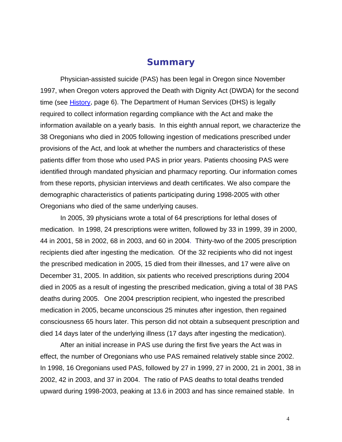# **Summary**

Physician-assisted suicide (PAS) has been legal in Oregon since November 1997, when Oregon voters approved the Death with Dignity Act (DWDA) for the second time (see **History**, page 6). The Department of Human Services (DHS) is legally required to collect information regarding compliance with the Act and make the information available on a yearly basis. In this eighth annual report, we characterize the 38 Oregonians who died in 2005 following ingestion of medications prescribed under provisions of the Act, and look at whether the numbers and characteristics of these patients differ from those who used PAS in prior years. Patients choosing PAS were identified through mandated physician and pharmacy reporting. Our information comes from these reports, physician interviews and death certificates. We also compare the demographic characteristics of patients participating during 1998-2005 with other Oregonians who died of the same underlying causes.

 In 2005, 39 physicians wrote a total of 64 prescriptions for lethal doses of medication. In 1998, 24 prescriptions were written, followed by 33 in 1999, 39 in 2000, 44 in 2001, 58 in 2002, 68 in 2003, and 60 in 2004. Thirty-two of the 2005 prescription recipients died after ingesting the medication. Of the 32 recipients who did not ingest the prescribed medication in 2005, 15 died from their illnesses, and 17 were alive on December 31, 2005. In addition, six patients who received prescriptions during 2004 died in 2005 as a result of ingesting the prescribed medication, giving a total of 38 PAS deaths during 2005. One 2004 prescription recipient, who ingested the prescribed medication in 2005, became unconscious 25 minutes after ingestion, then regained consciousness 65 hours later. This person did not obtain a subsequent prescription and died 14 days later of the underlying illness (17 days after ingesting the medication).

After an initial increase in PAS use during the first five years the Act was in effect, the number of Oregonians who use PAS remained relatively stable since 2002. In 1998, 16 Oregonians used PAS, followed by 27 in 1999, 27 in 2000, 21 in 2001, 38 in 2002, 42 in 2003, and 37 in 2004. The ratio of PAS deaths to total deaths trended upward during 1998-2003, peaking at 13.6 in 2003 and has since remained stable. In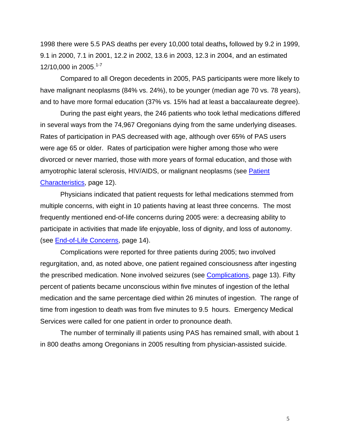1998 there were 5.5 PAS deaths per every 10,000 total deaths**,** followed by 9.2 in 1999, 9.1 in 2000, 7.1 in 2001, 12.2 in 2002, 13.6 in 2003, 12.3 in 2004, and an estimated 12/10,000 in 2005. 1-7

 Compared to all Oregon decedents in 2005, PAS participants were more likely to have malignant neoplasms (84% vs. 24%), to be younger (median age 70 vs. 78 years), and to have more formal education (37% vs. 15% had at least a baccalaureate degree).

 During the past eight years, the 246 patients who took lethal medications differed in several ways from the 74,967 Oregonians dying from the same underlying diseases. Rates of participation in PAS decreased with age, although over 65% of PAS users were age 65 or older. Rates of participation were higher among those who were divorced or never married, those with more years of formal education, and those with amyotrophic lateral sclerosis, HIV/AIDS, or malignant neoplasms (se[e Patient](#page-11-0)  [Characteristics](#page-11-0), page 12).

 Physicians indicated that patient requests for lethal medications stemmed from multiple concerns, with eight in 10 patients having at least three concerns. The most frequently mentioned end-of-life concerns during 2005 were: a decreasing ability to participate in activities that made life enjoyable, loss of dignity, and loss of autonomy. (see **End-of-Life Concerns**, page 14).

 Complications were reported for three patients during 2005; two involved regurgitation, and, as noted above, one patient regained consciousness after ingesting the prescribed medication. None involved seizures (see [Complications,](#page-12-0) page 13). Fifty percent of patients became unconscious within five minutes of ingestion of the lethal medication and the same percentage died within 26 minutes of ingestion. The range of time from ingestion to death was from five minutes to 9.5 hours. Emergency Medical Services were called for one patient in order to pronounce death.

The number of terminally ill patients using PAS has remained small, with about 1 in 800 deaths among Oregonians in 2005 resulting from physician-assisted suicide.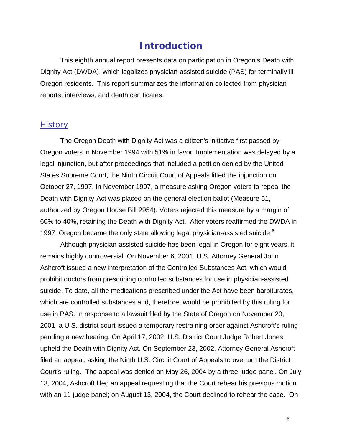## **Introduction**

<span id="page-5-0"></span>This eighth annual report presents data on participation in Oregon's Death with Dignity Act (DWDA), which legalizes physician-assisted suicide (PAS) for terminally ill Oregon residents. This report summarizes the information collected from physician reports, interviews, and death certificates.

#### **History**

The Oregon Death with Dignity Act was a citizen's initiative first passed by Oregon voters in November 1994 with 51% in favor. Implementation was delayed by a legal injunction, but after proceedings that included a petition denied by the United States Supreme Court, the Ninth Circuit Court of Appeals lifted the injunction on October 27, 1997. In November 1997, a measure asking Oregon voters to repeal the Death with Dignity Act was placed on the general election ballot (Measure 51, authorized by Oregon House Bill 2954). Voters rejected this measure by a margin of 60% to 40%, retaining the Death with Dignity Act. After voters reaffirmed the DWDA in 1997, Oregon became the only state allowing legal physician-assisted suicide.<sup>8</sup>

 Although physician-assisted suicide has been legal in Oregon for eight years, it remains highly controversial. On November 6, 2001, U.S. Attorney General John Ashcroft issued a new interpretation of the Controlled Substances Act, which would prohibit doctors from prescribing controlled substances for use in physician-assisted suicide. To date, all the medications prescribed under the Act have been barbiturates, which are controlled substances and, therefore, would be prohibited by this ruling for use in PAS. In response to a lawsuit filed by the State of Oregon on November 20, 2001, a U.S. district court issued a temporary restraining order against Ashcroft's ruling pending a new hearing. On April 17, 2002, U.S. District Court Judge Robert Jones upheld the Death with Dignity Act. On September 23, 2002, Attorney General Ashcroft filed an appeal, asking the Ninth U.S. Circuit Court of Appeals to overturn the District Court's ruling. The appeal was denied on May 26, 2004 by a three-judge panel. On July 13, 2004, Ashcroft filed an appeal requesting that the Court rehear his previous motion with an 11-judge panel; on August 13, 2004, the Court declined to rehear the case. On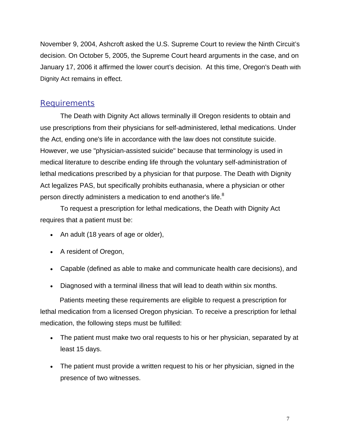November 9, 2004, Ashcroft asked the U.S. Supreme Court to review the Ninth Circuit's decision. On October 5, 2005, the Supreme Court heard arguments in the case, and on January 17, 2006 it affirmed the lower court's decision. At this time, Oregon's Death with Dignity Act remains in effect.

### Requirements

The Death with Dignity Act allows terminally ill Oregon residents to obtain and use prescriptions from their physicians for self-administered, lethal medications. Under the Act, ending one's life in accordance with the law does not constitute suicide. However, we use "physician-assisted suicide" because that terminology is used in medical literature to describe ending life through the voluntary self-administration of lethal medications prescribed by a physician for that purpose. The Death with Dignity Act legalizes PAS, but specifically prohibits euthanasia, where a physician or other person directly administers a medication to end another's life.<sup>8</sup>

To request a prescription for lethal medications, the Death with Dignity Act requires that a patient must be:

- An adult (18 years of age or older),
- A resident of Oregon,
- Capable (defined as able to make and communicate health care decisions), and
- Diagnosed with a terminal illness that will lead to death within six months.

Patients meeting these requirements are eligible to request a prescription for lethal medication from a licensed Oregon physician. To receive a prescription for lethal medication, the following steps must be fulfilled:

- The patient must make two oral requests to his or her physician, separated by at least 15 days.
- The patient must provide a written request to his or her physician, signed in the presence of two witnesses.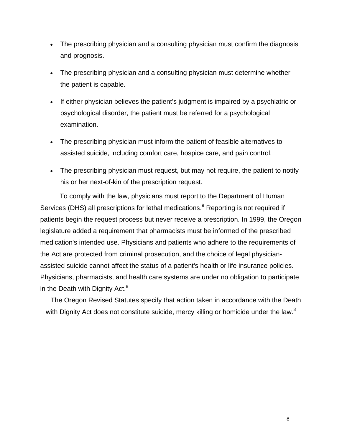- The prescribing physician and a consulting physician must confirm the diagnosis and prognosis.
- The prescribing physician and a consulting physician must determine whether the patient is capable.
- If either physician believes the patient's judgment is impaired by a psychiatric or psychological disorder, the patient must be referred for a psychological examination.
- The prescribing physician must inform the patient of feasible alternatives to assisted suicide, including comfort care, hospice care, and pain control.
- The prescribing physician must request, but may not require, the patient to notify his or her next-of-kin of the prescription request.

To comply with the law, physicians must report to the Department of Human Services (DHS) all prescriptions for lethal medications.<sup>9</sup> Reporting is not required if patients begin the request process but never receive a prescription. In 1999, the Oregon legislature added a requirement that pharmacists must be informed of the prescribed medication's intended use. Physicians and patients who adhere to the requirements of the Act are protected from criminal prosecution, and the choice of legal physicianassisted suicide cannot affect the status of a patient's health or life insurance policies. Physicians, pharmacists, and health care systems are under no obligation to participate in the Death with Dignity Act. $8$ 

The Oregon Revised Statutes specify that action taken in accordance with the Death with Dignity Act does not constitute suicide, mercy killing or homicide under the law.<sup>8</sup>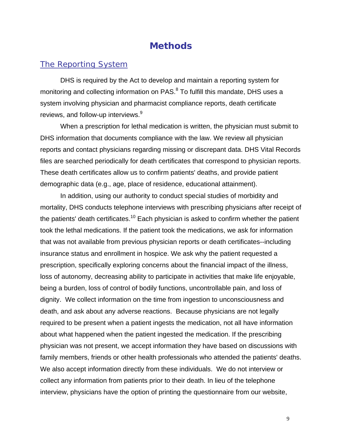## **Methods**

#### The Reporting System

DHS is required by the Act to develop and maintain a reporting system for monitoring and collecting information on PAS.<sup>8</sup> To fulfill this mandate, DHS uses a system involving physician and pharmacist compliance reports, death certificate reviews, and follow-up interviews.<sup>9</sup>

When a prescription for lethal medication is written, the physician must submit to DHS information that documents compliance with the law. We review all physician reports and contact physicians regarding missing or discrepant data. DHS Vital Records files are searched periodically for death certificates that correspond to physician reports. These death certificates allow us to confirm patients' deaths, and provide patient demographic data (e.g., age, place of residence, educational attainment).

In addition, using our authority to conduct special studies of morbidity and mortality, DHS conducts telephone interviews with prescribing physicians after receipt of the patients' death certificates.<sup>10</sup> Each physician is asked to confirm whether the patient took the lethal medications. If the patient took the medications, we ask for information that was not available from previous physician reports or death certificates--including insurance status and enrollment in hospice. We ask why the patient requested a prescription, specifically exploring concerns about the financial impact of the illness, loss of autonomy, decreasing ability to participate in activities that make life enjoyable, being a burden, loss of control of bodily functions, uncontrollable pain, and loss of dignity. We collect information on the time from ingestion to unconsciousness and death, and ask about any adverse reactions. Because physicians are not legally required to be present when a patient ingests the medication, not all have information about what happened when the patient ingested the medication. If the prescribing physician was not present, we accept information they have based on discussions with family members, friends or other health professionals who attended the patients' deaths. We also accept information directly from these individuals. We do not interview or collect any information from patients prior to their death. In lieu of the telephone interview, physicians have the option of printing the questionnaire from our website,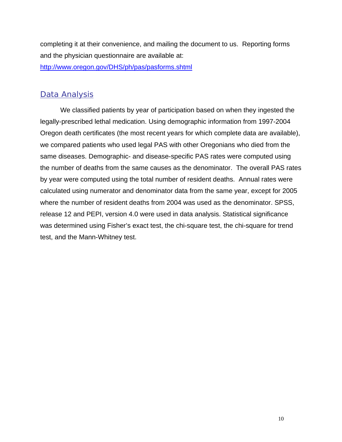completing it at their convenience, and mailing the document to us. Reporting forms and the physician questionnaire are available at:

http://www.oregon.gov/DHS/ph/pas/pasforms.shtml

## **Data Analysis**

We classified patients by year of participation based on when they ingested the legally-prescribed lethal medication. Using demographic information from 1997-2004 Oregon death certificates (the most recent years for which complete data are available), we compared patients who used legal PAS with other Oregonians who died from the same diseases. Demographic- and disease-specific PAS rates were computed using the number of deaths from the same causes as the denominator. The overall PAS rates by year were computed using the total number of resident deaths. Annual rates were calculated using numerator and denominator data from the same year, except for 2005 where the number of resident deaths from 2004 was used as the denominator. SPSS, release 12 and PEPI, version 4.0 were used in data analysis. Statistical significance was determined using Fisher's exact test, the chi-square test, the chi-square for trend test, and the Mann-Whitney test.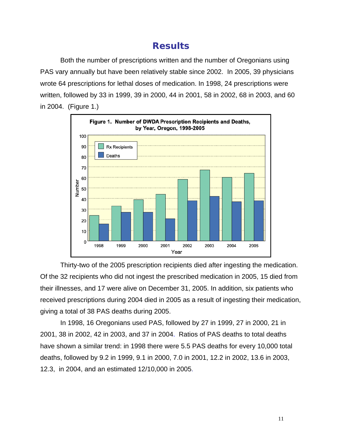# **Results**

 Both the number of prescriptions written and the number of Oregonians using PAS vary annually but have been relatively stable since 2002. In 2005, 39 physicians wrote 64 prescriptions for lethal doses of medication. In 1998, 24 prescriptions were written, followed by 33 in 1999, 39 in 2000, 44 in 2001, 58 in 2002, 68 in 2003, and 60 in 2004. (Figure 1.)



Thirty-two of the 2005 prescription recipients died after ingesting the medication. Of the 32 recipients who did not ingest the prescribed medication in 2005, 15 died from their illnesses, and 17 were alive on December 31, 2005. In addition, six patients who received prescriptions during 2004 died in 2005 as a result of ingesting their medication, giving a total of 38 PAS deaths during 2005.

In 1998, 16 Oregonians used PAS, followed by 27 in 1999, 27 in 2000, 21 in 2001, 38 in 2002, 42 in 2003, and 37 in 2004. Ratios of PAS deaths to total deaths have shown a similar trend: in 1998 there were 5.5 PAS deaths for every 10,000 total deaths, followed by 9.2 in 1999, 9.1 in 2000, 7.0 in 2001, 12.2 in 2002, 13.6 in 2003, 12.3, in 2004, and an estimated 12/10,000 in 2005.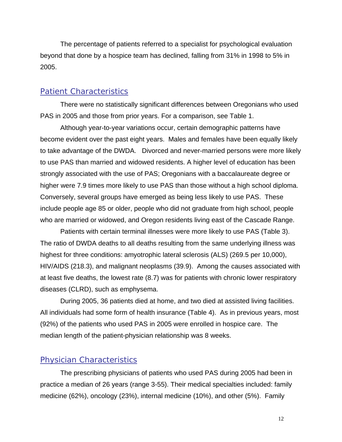<span id="page-11-0"></span>The percentage of patients referred to a specialist for psychological evaluation beyond that done by a hospice team has declined, falling from 31% in 1998 to 5% in 2005.

#### Patient Characteristics

There were no statistically significant differences between Oregonians who used PAS in 2005 and those from prior years. For a comparison, see Table 1.

 Although year-to-year variations occur, certain demographic patterns have become evident over the past eight years. Males and females have been equally likely to take advantage of the DWDA. Divorced and never-married persons were more likely to use PAS than married and widowed residents. A higher level of education has been strongly associated with the use of PAS; Oregonians with a baccalaureate degree or higher were 7.9 times more likely to use PAS than those without a high school diploma. Conversely, several groups have emerged as being less likely to use PAS. These include people age 85 or older, people who did not graduate from high school, people who are married or widowed, and Oregon residents living east of the Cascade Range.

 Patients with certain terminal illnesses were more likely to use PAS (Table 3). The ratio of DWDA deaths to all deaths resulting from the same underlying illness was highest for three conditions: amyotrophic lateral sclerosis (ALS) (269.5 per 10,000), HIV/AIDS (218.3), and malignant neoplasms (39.9). Among the causes associated with at least five deaths, the lowest rate (8.7) was for patients with chronic lower respiratory diseases (CLRD), such as emphysema.

 During 2005, 36 patients died at home, and two died at assisted living facilities. All individuals had some form of health insurance (Table 4). As in previous years, most (92%) of the patients who used PAS in 2005 were enrolled in hospice care. The median length of the patient-physician relationship was 8 weeks.

#### Physician Characteristics

The prescribing physicians of patients who used PAS during 2005 had been in practice a median of 26 years (range 3-55). Their medical specialties included: family medicine (62%), oncology (23%), internal medicine (10%), and other (5%). Family

12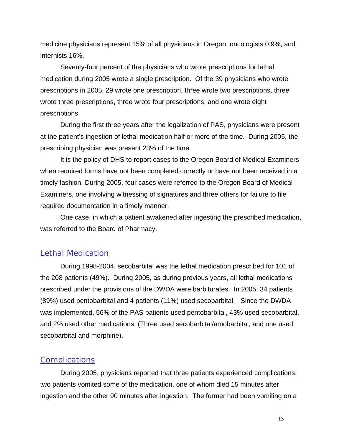<span id="page-12-0"></span>medicine physicians represent 15% of all physicians in Oregon, oncologists 0.9%, and internists 16%.

Seventy-four percent of the physicians who wrote prescriptions for lethal medication during 2005 wrote a single prescription. Of the 39 physicians who wrote prescriptions in 2005, 29 wrote one prescription, three wrote two prescriptions, three wrote three prescriptions, three wrote four prescriptions, and one wrote eight prescriptions.

During the first three years after the legalization of PAS, physicians were present at the patient's ingestion of lethal medication half or more of the time. During 2005, the prescribing physician was present 23% of the time.

 It is the policy of DHS to report cases to the Oregon Board of Medical Examiners when required forms have not been completed correctly or have not been received in a timely fashion. During 2005, four cases were referred to the Oregon Board of Medical Examiners, one involving witnessing of signatures and three others for failure to file required documentation in a timely manner.

One case, in which a patient awakened after ingesting the prescribed medication, was referred to the Board of Pharmacy.

#### Lethal Medication

 During 1998-2004, secobarbital was the lethal medication prescribed for 101 of the 208 patients (49%). During 2005, as during previous years, all lethal medications prescribed under the provisions of the DWDA were barbiturates. In 2005, 34 patients (89%) used pentobarbital and 4 patients (11%) used secobarbital. Since the DWDA was implemented, 56% of the PAS patients used pentobarbital, 43% used secobarbital, and 2% used other medications. (Three used secobarbital/amobarbital, and one used secobarbital and morphine).

#### **Complications**

 During 2005, physicians reported that three patients experienced complications: two patients vomited some of the medication, one of whom died 15 minutes after ingestion and the other 90 minutes after ingestion. The former had been vomiting on a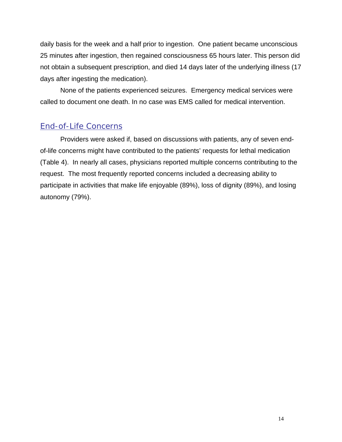<span id="page-13-0"></span>daily basis for the week and a half prior to ingestion. One patient became unconscious 25 minutes after ingestion, then regained consciousness 65 hours later. This person did not obtain a subsequent prescription, and died 14 days later of the underlying illness (17 days after ingesting the medication).

 None of the patients experienced seizures. Emergency medical services were called to document one death. In no case was EMS called for medical intervention.

## End-of-Life Concerns

Providers were asked if, based on discussions with patients, any of seven endof-life concerns might have contributed to the patients' requests for lethal medication (Table 4). In nearly all cases, physicians reported multiple concerns contributing to the request. The most frequently reported concerns included a decreasing ability to participate in activities that make life enjoyable (89%), loss of dignity (89%), and losing autonomy (79%).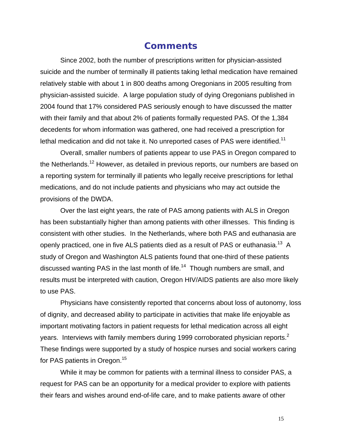### **Comments**

Since 2002, both the number of prescriptions written for physician-assisted suicide and the number of terminally ill patients taking lethal medication have remained relatively stable with about 1 in 800 deaths among Oregonians in 2005 resulting from physician-assisted suicide. A large population study of dying Oregonians published in 2004 found that 17% considered PAS seriously enough to have discussed the matter with their family and that about 2% of patients formally requested PAS. Of the 1,384 decedents for whom information was gathered, one had received a prescription for lethal medication and did not take it. No unreported cases of PAS were identified.<sup>11</sup>

Overall, smaller numbers of patients appear to use PAS in Oregon compared to the Netherlands.<sup>12</sup> However, as detailed in previous reports, our numbers are based on a reporting system for terminally ill patients who legally receive prescriptions for lethal medications, and do not include patients and physicians who may act outside the provisions of the DWDA.

Over the last eight years, the rate of PAS among patients with ALS in Oregon has been substantially higher than among patients with other illnesses. This finding is consistent with other studies. In the Netherlands, where both PAS and euthanasia are openly practiced, one in five ALS patients died as a result of PAS or euthanasia.<sup>13</sup> A study of Oregon and Washington ALS patients found that one-third of these patients discussed wanting PAS in the last month of life.<sup>14</sup> Though numbers are small, and results must be interpreted with caution, Oregon HIV/AIDS patients are also more likely to use PAS.

 Physicians have consistently reported that concerns about loss of autonomy, loss of dignity, and decreased ability to participate in activities that make life enjoyable as important motivating factors in patient requests for lethal medication across all eight years. Interviews with family members during 1999 corroborated physician reports.<sup>2</sup> These findings were supported by a study of hospice nurses and social workers caring for PAS patients in Oregon.<sup>15</sup>

 While it may be common for patients with a terminal illness to consider PAS, a request for PAS can be an opportunity for a medical provider to explore with patients their fears and wishes around end-of-life care, and to make patients aware of other

15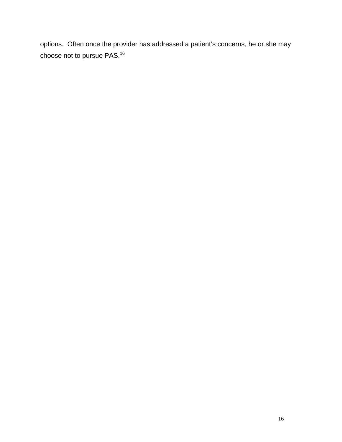options. Often once the provider has addressed a patient's concerns, he or she may choose not to pursue PAS.<sup>16</sup>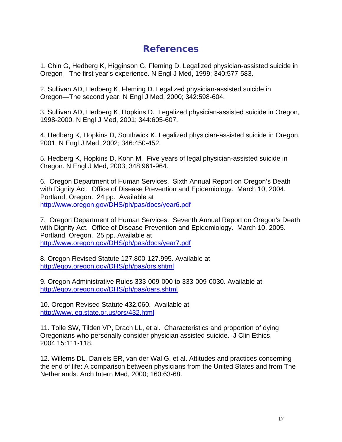# **References**

1. Chin G, Hedberg K, Higginson G, Fleming D. Legalized physician-assisted suicide in Oregon—The first year's experience. N Engl J Med, 1999; 340:577-583.

2. Sullivan AD, Hedberg K, Fleming D. Legalized physician-assisted suicide in Oregon—The second year. N Engl J Med, 2000; 342:598-604.

3. Sullivan AD, Hedberg K, Hopkins D. Legalized physician-assisted suicide in Oregon, 1998-2000. N Engl J Med, 2001; 344:605-607.

4. Hedberg K, Hopkins D, Southwick K. Legalized physician-assisted suicide in Oregon, 2001. N Engl J Med, 2002; 346:450-452.

5. Hedberg K, Hopkins D, Kohn M. Five years of legal physician-assisted suicide in Oregon. N Engl J Med, 2003; 348:961-964.

6. Oregon Department of Human Services. Sixth Annual Report on Oregon's Death with Dignity Act. Office of Disease Prevention and Epidemiology. March 10, 2004. Portland, Oregon. 24 pp. Available at http://www.oregon.gov/DHS/ph/pas/docs/year6.pdf

7. Oregon Department of Human Services. Seventh Annual Report on Oregon's Death with Dignity Act. Office of Disease Prevention and Epidemiology. March 10, 2005. Portland, Oregon. 25 pp. Available at http://www.oregon.gov/DHS/ph/pas/docs/year7.pdf

8. Oregon Revised Statute 127.800-127.995. Available at http://egov.oregon.gov/DHS/ph/pas/ors.shtml

9. Oregon Administrative Rules 333-009-000 to 333-009-0030. Available at http://egov.oregon.gov/DHS/ph/pas/oars.shtml

10. Oregon Revised Statute 432.060. Available at http://www.leg.state.or.us/ors/432.html

11. Tolle SW, Tilden VP, Drach LL, et al. Characteristics and proportion of dying Oregonians who personally consider physician assisted suicide. J Clin Ethics, 2004;15:111-118.

12. Willems DL, Daniels ER, van der Wal G, et al. Attitudes and practices concerning the end of life: A comparison between physicians from the United States and from The Netherlands. Arch Intern Med, 2000; 160:63-68.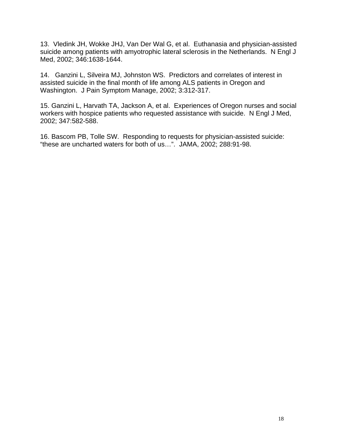13. Vledink JH, Wokke JHJ, Van Der Wal G, et al. Euthanasia and physician-assisted suicide among patients with amyotrophic lateral sclerosis in the Netherlands. N Engl J Med, 2002; 346:1638-1644.

14. Ganzini L, Silveira MJ, Johnston WS. Predictors and correlates of interest in assisted suicide in the final month of life among ALS patients in Oregon and Washington. J Pain Symptom Manage, 2002; 3:312-317.

15. Ganzini L, Harvath TA, Jackson A, et al. Experiences of Oregon nurses and social workers with hospice patients who requested assistance with suicide. N Engl J Med, 2002; 347:582-588.

16. Bascom PB, Tolle SW. Responding to requests for physician-assisted suicide: "these are uncharted waters for both of us…". JAMA, 2002; 288:91-98.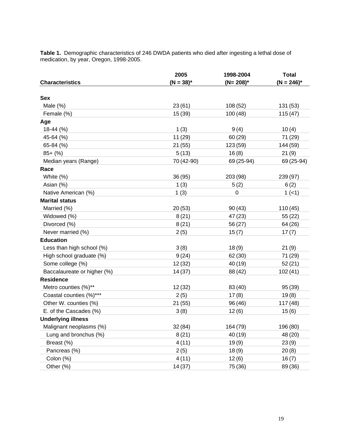**Table 1.** Demographic characteristics of 246 DWDA patients who died after ingesting a lethal dose of medication, by year, Oregon, 1998-2005.

|                             | 2005           | 1998-2004   | <b>Total</b>  |  |
|-----------------------------|----------------|-------------|---------------|--|
| <b>Characteristics</b>      | $(N = 38)^{*}$ | $(N=208)^*$ | $(N = 246)^*$ |  |
|                             |                |             |               |  |
| <b>Sex</b>                  |                |             |               |  |
| Male $(\%)$                 | 23(61)         | 108 (52)    | 131 (53)      |  |
| Female (%)                  | 15 (39)        | 100(48)     | 115(47)       |  |
| Age                         |                |             |               |  |
| 18-44 (%)                   | 1(3)           | 9(4)        | 10(4)         |  |
| 45-64 (%)                   | 11 (29)        | 60(29)      | 71 (29)       |  |
| 65-84 (%)                   | 21(55)         | 123 (59)    | 144 (59)      |  |
| $85+$ (%)                   | 5(13)          | 16(8)       | 21(9)         |  |
| Median years (Range)        | 70 (42-90)     | 69 (25-94)  | 69 (25-94)    |  |
| Race                        |                |             |               |  |
| White (%)                   | 36(95)         | 203 (98)    | 239 (97)      |  |
| Asian (%)                   | 1(3)           | 5(2)        | 6(2)          |  |
| Native American (%)         | 1(3)           | $\mathbf 0$ | $1(-1)$       |  |
| <b>Marital status</b>       |                |             |               |  |
| Married (%)                 | 20(53)         | 90(43)      | 110 (45)      |  |
| Widowed (%)                 | 8(21)          | 47 (23)     | 55(22)        |  |
| Divorced (%)                | 8(21)          | 56 (27)     | 64 (26)       |  |
| Never married (%)           | 2(5)           | 15(7)       | 17(7)         |  |
| <b>Education</b>            |                |             |               |  |
| Less than high school (%)   | 3(8)           | 18(9)       | 21(9)         |  |
| High school graduate (%)    | 9(24)          | 62 (30)     | 71 (29)       |  |
| Some college (%)            | 12(32)         | 40 (19)     | 52(21)        |  |
| Baccalaureate or higher (%) | 14 (37)        | 88 (42)     | 102 (41)      |  |
| <b>Residence</b>            |                |             |               |  |
| Metro counties (%)**        | 12(32)         | 83 (40)     | 95 (39)       |  |
| Coastal counties (%)***     | 2(5)           | 17(8)       | 19(8)         |  |
| Other W. counties (%)       | 21(55)         | 96 (46)     | 117(48)       |  |
| E. of the Cascades (%)      | 3(8)           | 12(6)       | 15(6)         |  |
| <b>Underlying illness</b>   |                |             |               |  |
| Malignant neoplasms (%)     | 32(84)         | 164 (79)    | 196 (80)      |  |
| Lung and bronchus (%)       | 8(21)          | 40 (19)     | 48 (20)       |  |
| Breast (%)                  | 4(11)          | 19(9)       | 23(9)         |  |
| Pancreas (%)                | 2(5)           | 18(9)       | 20(8)         |  |
| Colon (%)                   | 4(11)          | 12(6)       | 16(7)         |  |
| Other (%)                   | 14(37)         | 75 (36)     | 89 (36)       |  |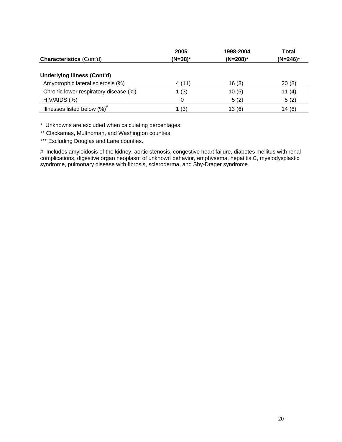|                                       | 2005       | 1998-2004   | Total       |  |
|---------------------------------------|------------|-------------|-------------|--|
| <b>Characteristics (Cont'd)</b>       | $(N=38)^*$ | $(N=208)^*$ | $(N=246)^*$ |  |
| <b>Underlying Illness (Cont'd)</b>    |            |             |             |  |
| Amyotrophic lateral sclerosis (%)     | 4(11)      | 16(8)       | 20(8)       |  |
| Chronic lower respiratory disease (%) | 1 $(3)$    | 10(5)       | 11 (4)      |  |
| HIV/AIDS (%)                          | 0          | 5(2)        | 5(2)        |  |
| Illnesses listed below $(\%)^{\#}$    | 1 $(3)$    | 13(6)       | 14(6)       |  |

\* Unknowns are excluded when calculating percentages.

\*\* Clackamas, Multnomah, and Washington counties.

\*\*\* Excluding Douglas and Lane counties.

# Includes amyloidosis of the kidney, aortic stenosis, congestive heart failure, diabetes mellitus with renal complications, digestive organ neoplasm of unknown behavior, emphysema, hepatitis C, myelodysplastic syndrome, pulmonary disease with fibrosis, scleroderma, and Shy-Drager syndrome.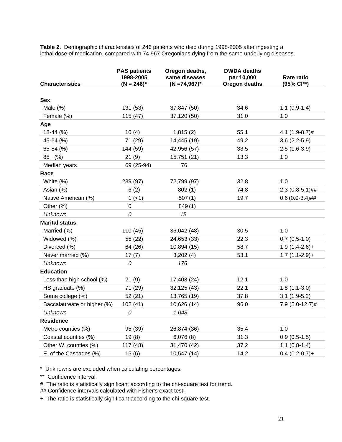**Table 2.** Demographic characteristics of 246 patients who died during 1998-2005 after ingesting a lethal dose of medication, compared with 74,967 Oregonians dying from the same underlying diseases.

| <b>Characteristics</b>      | <b>PAS patients</b><br>1998-2005<br>$(N = 246)^{*}$ | Oregon deaths,<br>same diseases<br>$(N = 74,967)^*$ | <b>DWDA deaths</b><br>per 10,000<br>Oregon deaths | <b>Rate ratio</b><br>(95% Cl**) |
|-----------------------------|-----------------------------------------------------|-----------------------------------------------------|---------------------------------------------------|---------------------------------|
|                             |                                                     |                                                     |                                                   |                                 |
| <b>Sex</b>                  |                                                     |                                                     |                                                   |                                 |
| Male $(%)$                  | 131 (53)                                            | 37,847 (50)                                         | 34.6                                              | $1.1(0.9-1.4)$                  |
| Female (%)                  | 115 (47)                                            | 37,120 (50)                                         | 31.0                                              | 1.0                             |
| Age                         |                                                     |                                                     |                                                   |                                 |
| 18-44 (%)                   | 10(4)                                               | 1,815(2)                                            | 55.1                                              | 4.1 $(1.9-8.7)$ #               |
| 45-64 (%)                   | 71 (29)                                             | 14,445 (19)                                         | 49.2                                              | $3.6(2.2-5.9)$                  |
| 65-84 (%)                   | 144 (59)                                            | 42,956 (57)                                         | 33.5                                              | $2.5(1.6-3.9)$                  |
| $85+$ (%)                   | 21(9)                                               | 15,751 (21)                                         | 13.3                                              | 1.0                             |
| Median years                | 69 (25-94)                                          | 76                                                  |                                                   |                                 |
| Race                        |                                                     |                                                     |                                                   |                                 |
| White (%)                   | 239 (97)                                            | 72,799 (97)                                         | 32.8                                              | 1.0                             |
| Asian (%)                   | 6(2)                                                | 802(1)                                              | 74.8                                              | $2.3(0.8-5.1)$ ##               |
| Native American (%)         | $1(-1)$                                             | 507(1)                                              | 19.7                                              | $0.6(0.0-3.4)$ ##               |
| Other (%)                   | 0                                                   | 849(1)                                              |                                                   |                                 |
| <b>Unknown</b>              | 0                                                   | 15                                                  |                                                   |                                 |
| <b>Marital status</b>       |                                                     |                                                     |                                                   |                                 |
| Married (%)                 | 110 (45)                                            | 36,042 (48)                                         | 30.5                                              | 1.0                             |
| Widowed (%)                 | 55 (22)                                             | 24,653 (33)                                         | 22.3                                              | $0.7(0.5-1.0)$                  |
| Divorced (%)                | 64 (26)                                             | 10,894 (15)                                         | 58.7                                              | $1.9(1.4-2.6)+$                 |
| Never married (%)           | 17(7)                                               | 3,202(4)                                            | 53.1                                              | $1.7(1.1-2.9)+$                 |
| <b>Unknown</b>              | 0                                                   | 176                                                 |                                                   |                                 |
| <b>Education</b>            |                                                     |                                                     |                                                   |                                 |
| Less than high school (%)   | 21(9)                                               | 17,403 (24)                                         | 12.1                                              | 1.0                             |
| HS graduate (%)             | 71 (29)                                             | 32,125 (43)                                         | 22.1                                              | $1.8(1.1-3.0)$                  |
| Some college (%)            | 52 (21)                                             | 13,765 (19)                                         | 37.8                                              | $3.1(1.9-5.2)$                  |
| Baccalaureate or higher (%) | 102 (41)                                            | 10,626 (14)                                         | 96.0                                              | $7.9(5.0-12.7)$ #               |
| <b>Unknown</b>              | ${\cal O}$                                          | 1,048                                               |                                                   |                                 |
| <b>Residence</b>            |                                                     |                                                     |                                                   |                                 |
| Metro counties (%)          | 95 (39)                                             | 26,874 (36)                                         | 35.4                                              | 1.0                             |
| Coastal counties (%)        | 19(8)                                               | 6,076(8)                                            | 31.3                                              | $0.9(0.5-1.5)$                  |
| Other W. counties (%)       | 117 (48)                                            | 31,470 (42)                                         | 37.2                                              | $1.1(0.8-1.4)$                  |
| E. of the Cascades (%)      | 15(6)                                               | 10,547 (14)                                         | 14.2                                              | $0.4(0.2-0.7)+$                 |

\* Unknowns are excluded when calculating percentages.

\*\* Confidence interval.

# The ratio is statistically significant according to the chi-square test for trend.

## Confidence intervals calculated with Fisher's exact test.

+ The ratio is statistically significant according to the chi-square test.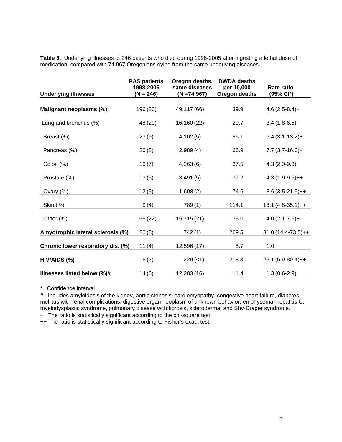**Table 3.** Underlying illnesses of 246 patients who died during 1998-2005 after ingesting a lethal dose of medication, compared with 74,967 Oregonians dying from the same underlying diseases.

| <b>Underlying illnesses</b>        | <b>PAS patients</b><br>1998-2005<br>$(N = 246)$ | Oregon deaths,<br>same diseases<br>$(N = 74, 967)$ | <b>DWDA</b> deaths<br>per 10,000<br>Oregon deaths | Rate ratio<br>(95% CI*) |
|------------------------------------|-------------------------------------------------|----------------------------------------------------|---------------------------------------------------|-------------------------|
| Malignant neoplasms (%)            | 196 (80)                                        | 49,117 (66)                                        | 39.9                                              | $4.6(2.5-8.4) +$        |
| Lung and bronchus (%)              | 48 (20)                                         | 16,160 (22)                                        | 29.7                                              | $3.4(1.8-6.6)+$         |
| Breast (%)                         | 23(9)                                           | 4,102(5)                                           | 56.1                                              | $6.4(3.1-13.2)+$        |
| Pancreas (%)                       | 20(8)                                           | 2,989(4)                                           | 66.9                                              | $7.7(3.7-16.0)+$        |
| Colon (%)                          | 16(7)                                           | 4,263(6)                                           | 37.5                                              | $4.3(2.0-9.3)+$         |
| Prostate (%)                       | 13(5)                                           | 3,491(5)                                           | 37.2                                              | $4.3(1.9-9.5)+$         |
| Ovary (%)                          | 12(5)                                           | 1,608(2)                                           | 74.6                                              | $8.6(3.5-21.5)++$       |
| Skin (%)                           | 9(4)                                            | 789(1)                                             | 114.1                                             | $13.1(4.8-35.1)++$      |
| Other $(\%)$                       | 55(22)                                          | 15,715 (21)                                        | 35.0                                              | $4.0(2.1 - 7.6) +$      |
| Amyotrophic lateral sclerosis (%)  | 20(8)                                           | 742(1)                                             | 269.5                                             | $31.0(14.4-73.5)++$     |
| Chronic lower respiratory dis. (%) | 11(4)                                           | 12,596 (17)                                        | 8.7                                               | 1.0                     |
| HIV/AIDS (%)                       | 5(2)                                            | $229(-1)$                                          | 218.3                                             | $25.1(6.9-80.4)+$       |
| Illnesses listed below (%)#        | 14(6)                                           | 12,283(16)                                         | 11.4                                              | $1.3(0.6-2.9)$          |

\* Confidence interval.

# Includes amyloidosis of the kidney, aortic stenosis, cardiomyopathy, congestive heart failure, diabetes mellitus with renal complications, digestive organ neoplasm of unknown behavior, emphysema, hepatitis C, myelodysplastic syndrome, pulmonary disease with fibrosis, scleroderma, and Shy-Drager syndrome.

+ The ratio is statistically significant according to the chi-square test.

++ The ratio is statistically significant according to Fisher's exact test.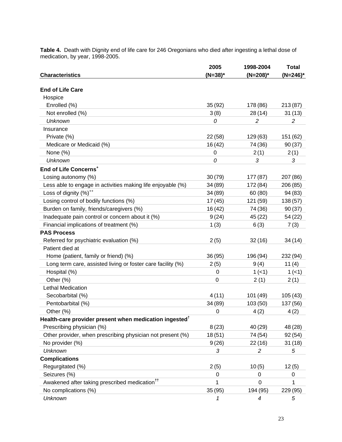**Table 4.** Death with Dignity end of life care for 246 Oregonians who died after ingesting a lethal dose of medication, by year, 1998-2005.

| <b>Characteristics</b>                                             | 2005<br>(N=38)* | 1998-2004<br>(N=208)* | <b>Total</b><br>(N=246)* |
|--------------------------------------------------------------------|-----------------|-----------------------|--------------------------|
|                                                                    |                 |                       |                          |
| <b>End of Life Care</b>                                            |                 |                       |                          |
| Hospice                                                            |                 |                       |                          |
| Enrolled (%)                                                       | 35(92)          | 178 (86)              | 213 (87)                 |
| Not enrolled (%)                                                   | 3(8)            | 28(14)                | 31(13)                   |
| <b>Unknown</b>                                                     | 0               | 2                     | 2                        |
| Insurance                                                          |                 |                       |                          |
| Private (%)                                                        | 22(58)          | 129 (63)              | 151 (62)                 |
| Medicare or Medicaid (%)                                           | 16(42)          | 74 (36)               | 90(37)                   |
| None (%)                                                           | $\pmb{0}$       | 2(1)                  | 2(1)                     |
| Unknown                                                            | 0               | 3                     | 3                        |
| End of Life Concerns <sup>+</sup>                                  |                 |                       |                          |
| Losing autonomy (%)                                                | 30(79)          | 177 (87)              | 207 (86)                 |
| Less able to engage in activities making life enjoyable (%)        | 34 (89)         | 172 (84)              | 206 (85)                 |
| Loss of dignity (%) <sup>++</sup>                                  | 34 (89)         | 60 (80)               | 94 (83)                  |
| Losing control of bodily functions (%)                             | 17(45)          | 121 (59)              | 138 (57)                 |
| Burden on family, friends/caregivers (%)                           | 16(42)          | 74 (36)               | 90(37)                   |
| Inadequate pain control or concern about it (%)                    | 9(24)           | 45 (22)               | 54 (22)                  |
| Financial implications of treatment (%)                            | 1(3)            | 6(3)                  | 7(3)                     |
| <b>PAS Process</b>                                                 |                 |                       |                          |
| Referred for psychiatric evaluation (%)                            | 2(5)            | 32(16)                | 34(14)                   |
| Patient died at                                                    |                 |                       |                          |
| Home (patient, family or friend) (%)                               | 36 (95)         | 196 (94)              | 232 (94)                 |
| Long term care, assisted living or foster care facility (%)        | 2(5)            | 9(4)                  | 11(4)                    |
| Hospital (%)                                                       | 0               | 1(1)                  | $1(-1)$                  |
| Other (%)                                                          | 0               | 2(1)                  | 2(1)                     |
| Lethal Medication                                                  |                 |                       |                          |
| Secobarbital (%)                                                   | 4(11)           | 101 (49)              | 105(43)                  |
| Pentobarbital (%)                                                  | 34 (89)         | 103(50)               | 137 (56)                 |
| Other (%)                                                          | 0               | 4(2)                  | 4(2)                     |
| Health-care provider present when medication ingested <sup>†</sup> |                 |                       |                          |
| Prescribing physician (%)                                          | 8(23)           | 40 (29)               | 48 (28)                  |
| Other provider, when prescribing physician not present (%)         | 18(51)          | 74 (54)               | 92(54)                   |
| No provider (%)                                                    | 9(26)           | 22(16)                | 31(18)                   |
| <b>Unknown</b>                                                     | 3               | 2                     | 5                        |
| <b>Complications</b>                                               |                 |                       |                          |
| Regurgitated (%)                                                   | 2(5)            | 10(5)                 | 12(5)                    |
| Seizures (%)                                                       | 0               | 0                     | 0                        |
| Awakened after taking prescribed medication <sup>tt</sup>          | 1               | 0                     | 1                        |
| No complications (%)                                               | 35(95)          | 194 (95)              | 229 (95)                 |
| <b>Unknown</b>                                                     | 1               | 4                     | 5                        |